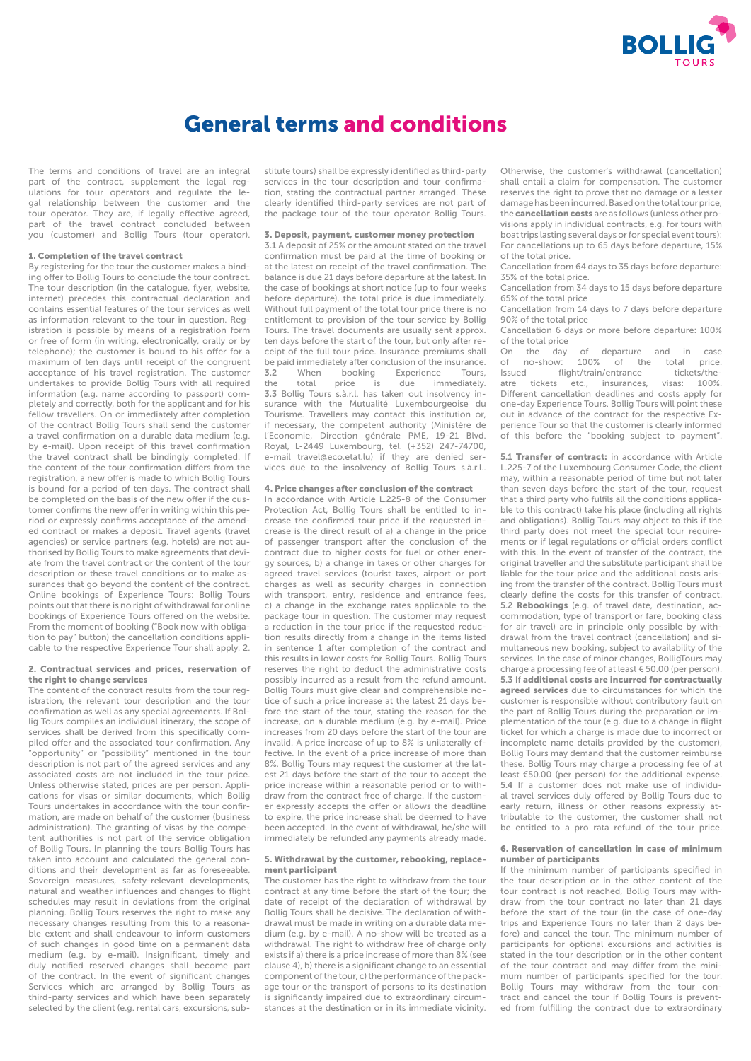

# General terms and conditions

The terms and conditions of travel are an integral part of the contract, supplement the legal regulations for tour operators and regulate the legal relationship between the customer and the tour operator. They are, if legally effective agreed, part of the travel contract concluded between you (customer) and Bollig Tours (tour operator).

# 1. Completion of the travel contract

By registering for the tour the customer makes a binding offer to Bollig Tours to conclude the tour contract. The tour description (in the catalogue, flyer, website, internet) precedes this contractual declaration and contains essential features of the tour services as well as information relevant to the tour in question. Registration is possible by means of a registration form or free of form (in writing, electronically, orally or by telephone); the customer is bound to his offer for a maximum of ten days until receipt of the congruent acceptance of his travel registration. The customer undertakes to provide Bollig Tours with all required information (e.g. name according to passport) completely and correctly, both for the applicant and for his fellow travellers. On or immediately after completion of the contract Bollig Tours shall send the customer a travel confirmation on a durable data medium (e.g. by e-mail). Upon receipt of this travel confirmation the travel contract shall be bindingly completed. If the content of the tour confirmation differs from the registration, a new offer is made to which Bollig Tours is bound for a period of ten days. The contract shall be completed on the basis of the new offer if the customer confirms the new offer in writing within this period or expressly confirms acceptance of the amended contract or makes a deposit. Travel agents (travel agencies) or service partners (e.g. hotels) are not authorised by Bollig Tours to make agreements that deviate from the travel contract or the content of the tour description or these travel conditions or to make assurances that go beyond the content of the contract. Online bookings of Experience Tours: Bollig Tours points out that there is no right of withdrawal for online bookings of Experience Tours offered on the website. From the moment of booking ("Book now with obligation to pay" button) the cancellation conditions applicable to the respective Experience Tour shall apply. 2.

## 2. Contractual services and prices, reservation of the right to change services

The content of the contract results from the tour registration, the relevant tour description and the tour confirmation as well as any special agreements. If Bollig Tours compiles an individual itinerary, the scope of services shall be derived from this specifically compiled offer and the associated tour confirmation. Any "opportunity" or "possibility" mentioned in the tour description is not part of the agreed services and any associated costs are not included in the tour price. Unless otherwise stated, prices are per person. Applications for visas or similar documents, which Bollig Tours undertakes in accordance with the tour confirmation, are made on behalf of the customer (business administration). The granting of visas by the competent authorities is not part of the service obligation of Bollig Tours. In planning the tours Bollig Tours has taken into account and calculated the general conditions and their development as far as foreseeable. Sovereign measures, safety-relevant developments, natural and weather influences and changes to flight schedules may result in deviations from the original planning. Bollig Tours reserves the right to make any necessary changes resulting from this to a reasonable extent and shall endeavour to inform customers of such changes in good time on a permanent data medium (e.g. by e-mail). Insignificant, timely and duly notified reserved changes shall become part of the contract. In the event of significant changes Services which are arranged by Bollig Tours as third-party services and which have been separately selected by the client (e.g. rental cars, excursions, substitute tours) shall be expressly identified as third-party services in the tour description and tour confirmation, stating the contractual partner arranged. These clearly identified third-party services are not part of the package tour of the tour operator Bollig Tours.

#### 3. Deposit, payment, customer money protection

3.1 A deposit of 25% or the amount stated on the travel confirmation must be paid at the time of booking or at the latest on receipt of the travel confirmation. The balance is due 21 days before departure at the latest. In the case of bookings at short notice (up to four weeks before departure), the total price is due immediately. Without full payment of the total tour price there is no entitlement to provision of the tour service by Bollig Tours. The travel documents are usually sent approx. ten days before the start of the tour, but only after receipt of the full tour price. Insurance premiums shall be paid immediately after conclusion of the insurance.<br>**3.2** When booking Experience Tours, 3.2 When booking Experience Tours, the total price is due immediately. 3.3 Bollig Tours s.à.r.l. has taken out insolvency insurance with the Mutualité Luxembourgeoise du Tourisme. Travellers may contact this institution or, if necessary, the competent authority (Ministère de l'Economie, Direction générale PME, 19-21 Blvd. Royal, L-2449 Luxembourg, tel. (+352) 247-74700, e-mail travel@eco.etat.lu) if they are denied services due to the insolvency of Bollig Tours s.à.r.l..

## 4. Price changes after conclusion of the contract

In accordance with Article L.225-8 of the Consumer Protection Act, Bollig Tours shall be entitled to increase the confirmed tour price if the requested increase is the direct result of a) a change in the price of passenger transport after the conclusion of the contract due to higher costs for fuel or other energy sources, b) a change in taxes or other charges for agreed travel services (tourist taxes, airport or port charges as well as security charges in connection with transport, entry, residence and entrance fees, c) a change in the exchange rates applicable to the package tour in question. The customer may request a reduction in the tour price if the requested reduction results directly from a change in the items listed in sentence 1 after completion of the contract and this results in lower costs for Bollig Tours. Bollig Tours reserves the right to deduct the administrative costs possibly incurred as a result from the refund amount. Bollig Tours must give clear and comprehensible notice of such a price increase at the latest 21 days before the start of the tour, stating the reason for the increase, on a durable medium (e.g. by e-mail). Price increases from 20 days before the start of the tour are invalid. A price increase of up to 8% is unilaterally effective. In the event of a price increase of more than 8%, Bollig Tours may request the customer at the latest 21 days before the start of the tour to accept the price increase within a reasonable period or to withdraw from the contract free of charge. If the customer expressly accepts the offer or allows the deadline to expire, the price increase shall be deemed to have been accepted. In the event of withdrawal, he/she will immediately be refunded any payments already made.

## 5. Withdrawal by the customer, rebooking, replacement participant

The customer has the right to withdraw from the tour contract at any time before the start of the tour; the date of receipt of the declaration of withdrawal by Bollig Tours shall be decisive. The declaration of withdrawal must be made in writing on a durable data medium (e.g. by e-mail). A no-show will be treated as a withdrawal. The right to withdraw free of charge only exists if a) there is a price increase of more than 8% (see clause 4), b) there is a significant change to an essential component of the tour, c) the performance of the package tour or the transport of persons to its destination is significantly impaired due to extraordinary circumstances at the destination or in its immediate vicinity.

Otherwise, the customer's withdrawal (cancellation) shall entail a claim for compensation. The customer reserves the right to prove that no damage or a lesser damage has been incurred. Based on the total tour price, the cancellation costs are as follows (unless other provisions apply in individual contracts, e.g. for tours with boat trips lasting several days or for special event tours): For cancellations up to 65 days before departure, 15% of the total price.

Cancellation from 64 days to 35 days before departure: 35% of the total price.

Cancellation from 34 days to 15 days before departure 65% of the total price

Cancellation from 14 days to 7 days before departure 90% of the total price

Cancellation 6 days or more before departure: 100% of the total price<br>On the day

the day of departure and in case<br>no-show: 100% of the total price. of no-show: 100% of the total price.<br>Issued flight/train/entrance tickets/the-Issued flight/train/entrance tickets/theetc., insurances, Different cancellation deadlines and costs apply for one-day Experience Tours. Bollig Tours will point these out in advance of the contract for the respective Experience Tour so that the customer is clearly informed of this before the "booking subject to payment".

5.1 Transfer of contract: in accordance with Article L.225-7 of the Luxembourg Consumer Code, the client may, within a reasonable period of time but not later than seven days before the start of the tour, request that a third party who fulfils all the conditions applicable to this contract) take his place (including all rights and obligations). Bollig Tours may object to this if the third party does not meet the special tour requirements or if legal regulations or official orders conflict with this. In the event of transfer of the contract, the original traveller and the substitute participant shall be liable for the tour price and the additional costs arising from the transfer of the contract. Bollig Tours must clearly define the costs for this transfer of contract. 5.2 Rebookings (e.g. of travel date, destination, accommodation, type of transport or fare, booking class for air travel) are in principle only possible by withdrawal from the travel contract (cancellation) and simultaneous new booking, subject to availability of the services. In the case of minor changes, BolligTours may charge a processing fee of at least € 50.00 (per person). 5.3 If additional costs are incurred for contractually agreed services due to circumstances for which the customer is responsible without contributory fault on the part of Bollig Tours during the preparation or implementation of the tour (e.g. due to a change in flight ticket for which a charge is made due to incorrect or incomplete name details provided by the customer), Bollig Tours may demand that the customer reimburse these. Bollig Tours may charge a processing fee of at least €50.00 (per person) for the additional expense. 5.4 If a customer does not make use of individual travel services duly offered by Bollig Tours due to early return, illness or other reasons expressly attributable to the customer, the customer shall not be entitled to a pro rata refund of the tour price.

## 6. Reservation of cancellation in case of minimum number of participants

If the minimum number of participants specified in the tour description or in the other content of the tour contract is not reached, Bollig Tours may withdraw from the tour contract no later than 21 days before the start of the tour (in the case of one-day trips and Experience Tours no later than 2 days before) and cancel the tour. The minimum number of participants for optional excursions and activities is stated in the tour description or in the other content of the tour contract and may differ from the minimum number of participants specified for the tour. Bollig Tours may withdraw from the tour contract and cancel the tour if Bollig Tours is prevented from fulfilling the contract due to extraordinary